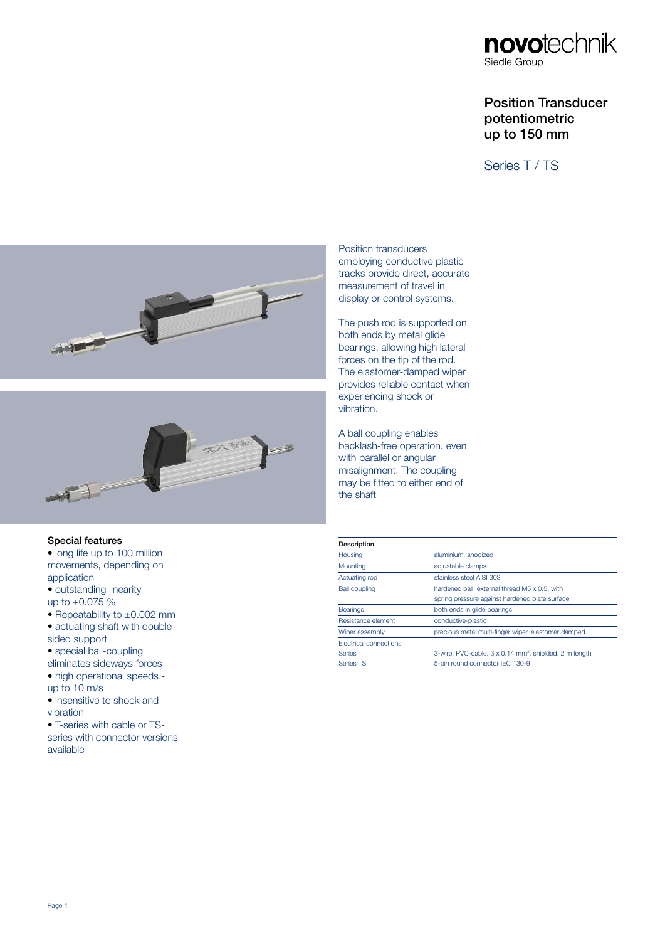

# Position Transducer potentiometric up to 150 mm

Series T / TS





## Special features

- long life up to 100 million movements, depending on application
- outstanding linearity -
- up to  $\pm 0.075$  %
- Repeatability to ±0.002 mm
- actuating shaft with doublesided support
- special ball-coupling
- eliminates sideways forces • high operational speeds -
- up to 10 m/s
- insensitive to shock and vibration
- T-series with cable or TS-

series with connector versions available

Position transducers employing conductive plastic tracks provide direct, accurate measurement of travel in display or control systems.

The push rod is supported on both ends by metal glide bearings, allowing high lateral forces on the tip of the rod. The elastomer-damped wiper provides reliable contact when experiencing shock or vibration.

A ball coupling enables backlash-free operation, even with parallel or angular misalignment. The coupling may be fitted to either end of the shaft

| Description                   |                                                                    |  |  |
|-------------------------------|--------------------------------------------------------------------|--|--|
| Housing                       | aluminium, anodized                                                |  |  |
| Mounting                      | adjustable clamps                                                  |  |  |
| Actuating rod                 | stainless steel AISI 303                                           |  |  |
| <b>Ball coupling</b>          | hardened ball, external thread M5 x 0.5, with                      |  |  |
|                               | spring pressure against hardened plate surface                     |  |  |
| <b>Bearings</b>               | both ends in glide bearings                                        |  |  |
| Resistance element            | conductive-plastic                                                 |  |  |
| Wiper assembly                | precious metal multi-finger wiper, elastomer damped                |  |  |
| <b>Flectrical connections</b> |                                                                    |  |  |
| Series T                      | 3-wire, PVC-cable, 3 x 0.14 mm <sup>2</sup> , shielded, 2 m length |  |  |
| Series TS                     | 5-pin round connector IEC 130-9                                    |  |  |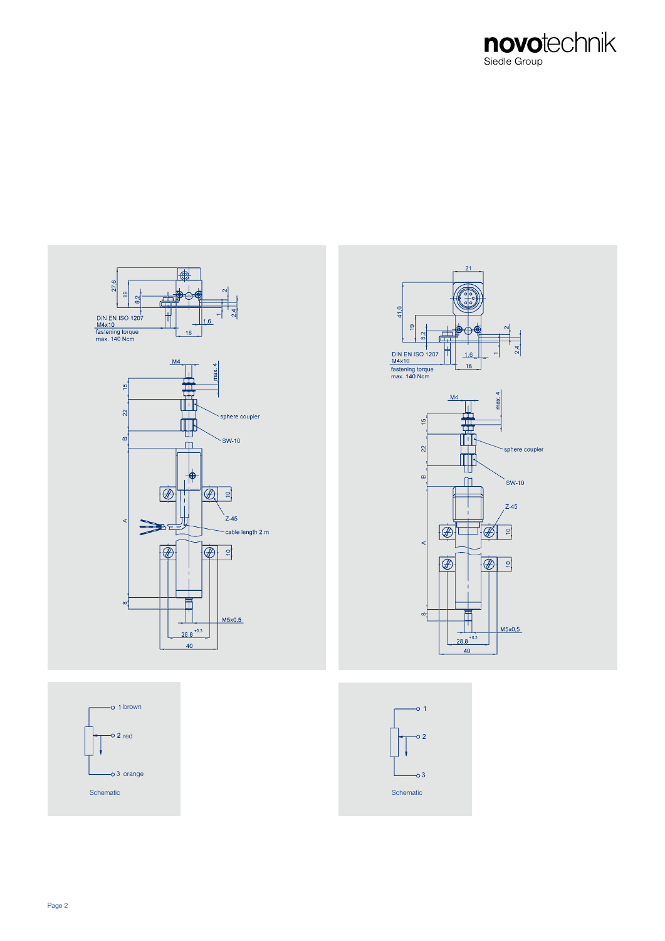







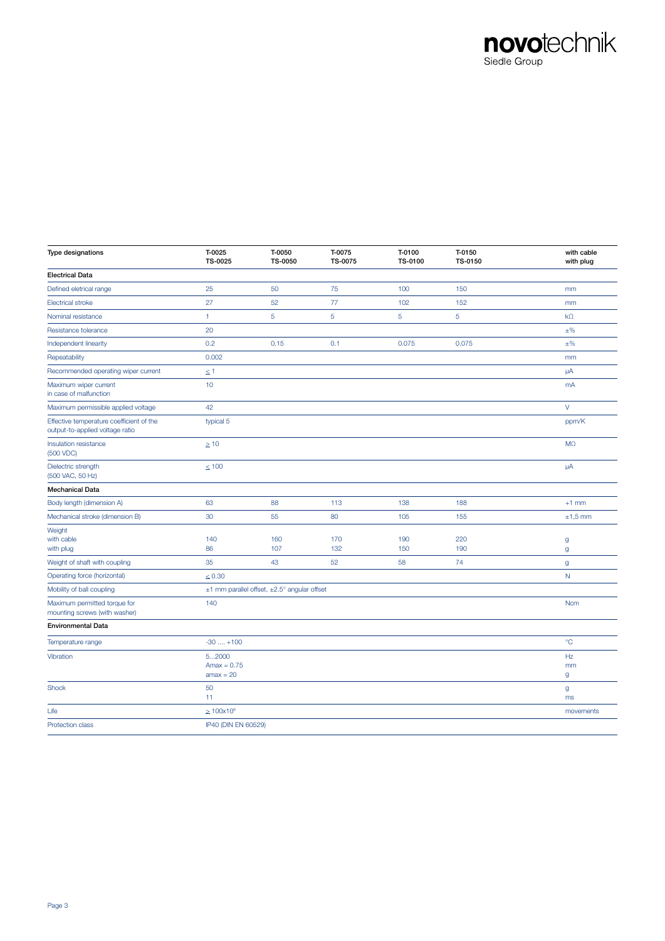

| Type designations                                                           | T-0025<br>TS-0025                     | T-0050<br>TS-0050                           | T-0075<br>TS-0075 | T-0100<br>TS-0100 | T-0150<br>TS-0150 | with cable<br>with plug |
|-----------------------------------------------------------------------------|---------------------------------------|---------------------------------------------|-------------------|-------------------|-------------------|-------------------------|
| <b>Electrical Data</b>                                                      |                                       |                                             |                   |                   |                   |                         |
| Defined eletrical range                                                     | 25                                    | 50                                          | 75                | 100               | 150               | mm                      |
| <b>Electrical stroke</b>                                                    | 27                                    | 52                                          | 77                | 102               | 152               | mm                      |
| Nominal resistance                                                          | $\mathbf{1}$                          | $\sqrt{5}$                                  | $\sqrt{5}$        | 5                 | $\overline{5}$    | $k\Omega$               |
| Resistance tolerance                                                        | 20                                    |                                             |                   |                   |                   | $\pm\%$                 |
| Independent linearity                                                       | 0.2                                   | 0.15                                        | 0.1               | 0.075             | 0.075             | $\pm\%$                 |
| Repeatability                                                               | 0.002                                 |                                             |                   |                   |                   | mm                      |
| Recommended operating wiper current                                         | $\leq 1$                              |                                             |                   |                   |                   | μA                      |
| Maximum wiper current<br>in case of malfunction                             | 10                                    |                                             |                   |                   |                   | mA                      |
| Maximum permissible applied voltage                                         | 42                                    |                                             |                   |                   |                   | V                       |
| Effective temperature coefficient of the<br>output-to-applied voltage ratio | typical 5                             |                                             |                   |                   |                   | ppm/K                   |
| Insulation resistance<br>(500 VDC)                                          | $\geq 10$                             |                                             |                   |                   |                   | M <sub>2</sub>          |
| Dielectric strength<br>(500 VAC, 50 Hz)                                     | $\leq 100$                            |                                             |                   |                   |                   | μA                      |
| <b>Mechanical Data</b>                                                      |                                       |                                             |                   |                   |                   |                         |
| Body length (dimension A)                                                   | 63                                    | 88                                          | 113               | 138               | 188               | $+1$ mm                 |
| Mechanical stroke (dimension B)                                             | 30                                    | 55                                          | 80                | 105               | 155               | $±1,5$ mm               |
| Weight<br>with cable<br>with plug                                           | 140<br>86                             | 160<br>107                                  | 170<br>132        | 190<br>150        | 220<br>190        | $\mathsf g$<br>g        |
| Weight of shaft with coupling                                               | 35                                    | 43                                          | 52                | 58                | 74                | g                       |
| Operating force (horizontal)                                                | $\leq 0.30$                           |                                             |                   |                   |                   | N                       |
| Mobility of ball coupling                                                   |                                       | ±1 mm parallel offset, ±2.5° angular offset |                   |                   |                   |                         |
| Maximum permitted torque for<br>mounting screws (with washer)               | 140                                   |                                             |                   |                   |                   | <b>Ncm</b>              |
| <b>Environmental Data</b>                                                   |                                       |                                             |                   |                   |                   |                         |
| Temperature range                                                           | $-30$ $+100$                          |                                             |                   |                   |                   | $^{\circ}C$             |
| Vibration                                                                   | 52000<br>$Amax = 0.75$<br>$amax = 20$ |                                             |                   |                   |                   | Hz<br>mm<br>g           |
| Shock                                                                       | 50<br>11                              |                                             |                   |                   |                   | g<br>ms                 |
| Life                                                                        | $\geq 100 \times 10^6$                |                                             |                   |                   |                   | movements               |
| Protection class                                                            | IP40 (DIN EN 60529)                   |                                             |                   |                   |                   |                         |